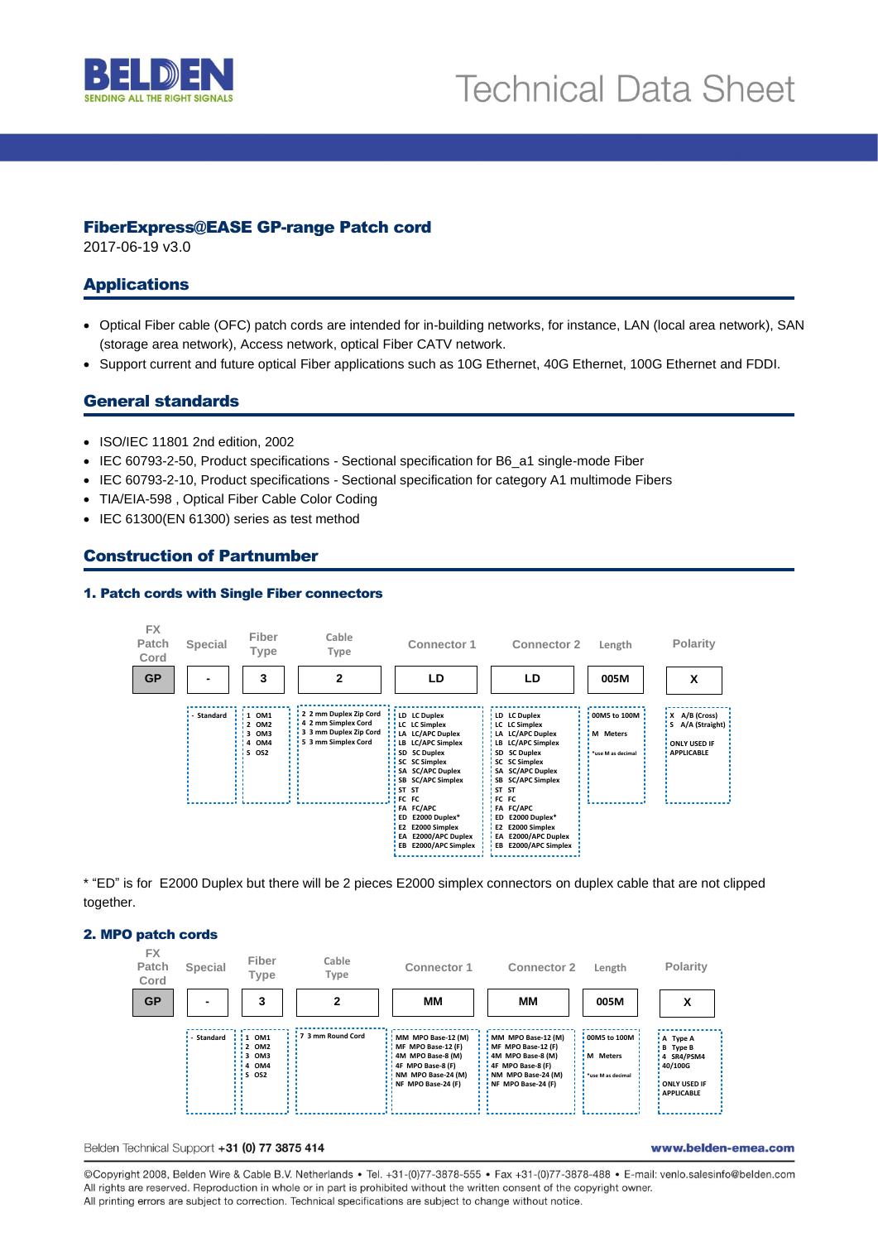

## FiberExpress@EASE GP-range Patch cord

2017-06-19 v3.0

# Applications

- Optical Fiber cable (OFC) patch cords are intended for in-building networks, for instance, LAN (local area network), SAN (storage area network), Access network, optical Fiber CATV network.
- Support current and future optical Fiber applications such as 10G Ethernet, 40G Ethernet, 100G Ethernet and FDDI.

# General standards

- ISO/IEC 11801 2nd edition, 2002
- IEC 60793-2-50, Product specifications Sectional specification for B6\_a1 single-mode Fiber
- IEC 60793-2-10, Product specifications Sectional specification for category A1 multimode Fibers
- TIA/EIA-598 , Optical Fiber Cable Color Coding
- IEC 61300(EN 61300) series as test method

# Construction of Partnumber

#### 1. Patch cords with Single Fiber connectors



\* "ED" is for E2000 Duplex but there will be 2 pieces E2000 simplex connectors on duplex cable that are not clipped together.

#### 2. MPO patch cords



#### Belden Technical Support +31 (0) 77 3875 414

www.belden-emea.com

@Copyright 2008, Belden Wire & Cable B.V. Netherlands · Tel. +31-(0)77-3878-555 · Fax +31-(0)77-3878-488 · E-mail: venlo.salesinfo@belden.com All rights are reserved. Reproduction in whole or in part is prohibited without the written consent of the copyright owner. All printing errors are subject to correction. Technical specifications are subject to change without notice.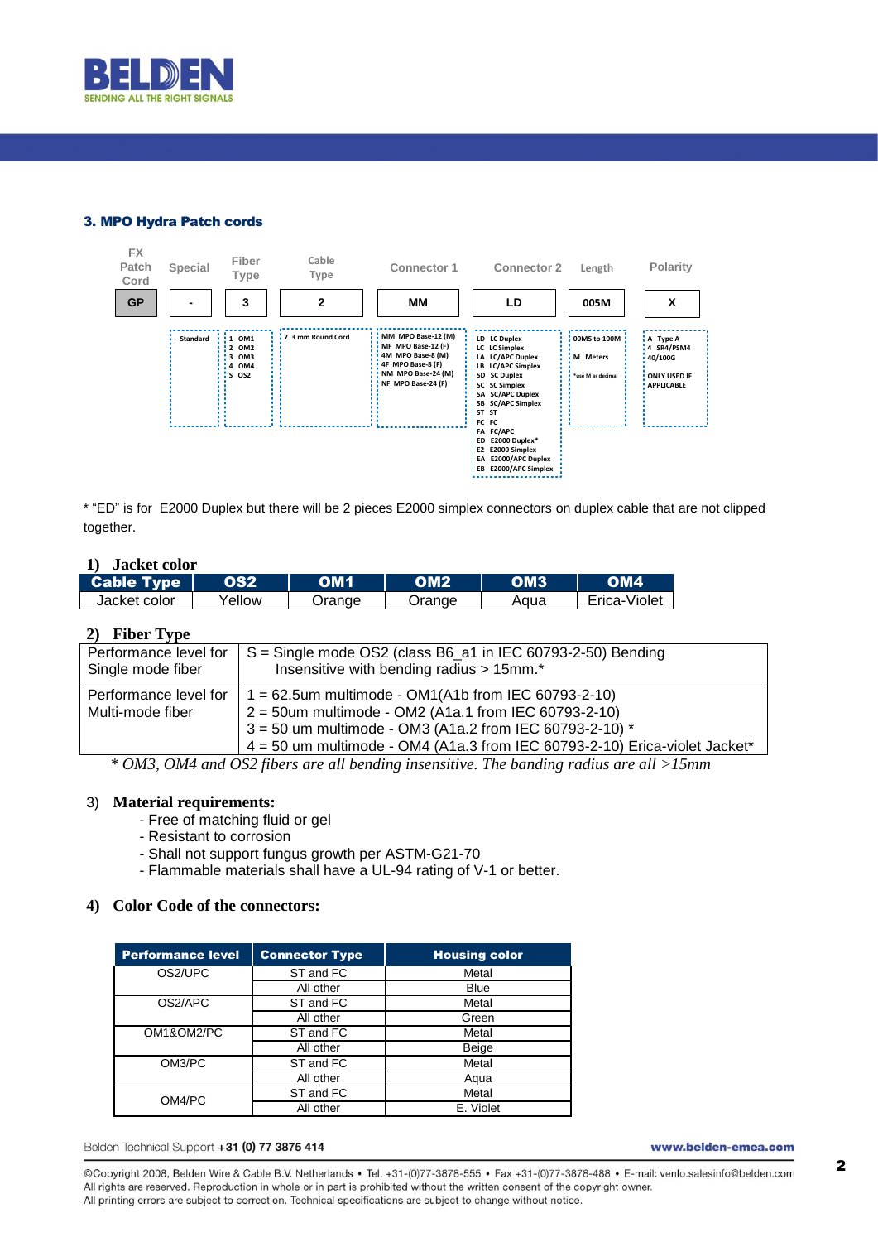

### 3. MPO Hydra Patch cords



\* "ED" is for E2000 Duplex but there will be 2 pieces E2000 simplex connectors on duplex cable that are not clipped together.

### **1) Jacket color**

| LCable Type \ | 192    |       |       |      |              |
|---------------|--------|-------|-------|------|--------------|
| Jacket color  | ellow' | range | range | Aqua | Erica-Violet |

### **2) Fiber Type**

| Performance level for<br>Single mode fiber | $S =$ Single mode OS2 (class B6_a1 in IEC 60793-2-50) Bending<br>Insensitive with bending radius > 15mm.* |
|--------------------------------------------|-----------------------------------------------------------------------------------------------------------|
| Performance level for                      | 1 = 62.5um multimode - OM1(A1b from IEC 60793-2-10)                                                       |
| Multi-mode fiber                           | $2 = 50$ um multimode - OM2 (A1a.1 from IEC 60793-2-10)                                                   |
|                                            | $3 = 50$ um multimode - OM3 (A1a.2 from IEC 60793-2-10) *                                                 |
|                                            | $4 = 50$ um multimode - OM4 (A1a.3 from IEC 60793-2-10) Erica-violet Jacket*                              |

*\* OM3, OM4 and OS2 fibers are all bending insensitive. The banding radius are all >15mm*

#### 3) **Material requirements:**

- Free of matching fluid or gel
- Resistant to corrosion
- Shall not support fungus growth per ASTM-G21-70
- Flammable materials shall have a UL-94 rating of V-1 or better.

#### **4) Color Code of the connectors:**

| <b>Performance level</b> | <b>Connector Type</b> | <b>Housing color</b> |
|--------------------------|-----------------------|----------------------|
| OS2/UPC                  | ST and FC             | Metal                |
|                          | All other             | <b>Blue</b>          |
| OS2/APC                  | ST and FC             | Metal                |
|                          | All other             | Green                |
| OM1&OM2/PC               | ST and FC             | Metal                |
|                          | All other             | Beige                |
| OM3/PC                   | ST and FC             | Metal                |
|                          | All other             | Aqua                 |
| OM4/PC                   | ST and FC             | Metal                |
|                          | All other             | E. Violet            |

Belden Technical Support +31 (0) 77 3875 414

www.belden-emea.com

@Copyright 2008, Belden Wire & Cable B.V. Netherlands · Tel. +31-(0)77-3878-555 · Fax +31-(0)77-3878-488 · E-mail: venlo.salesinfo@belden.com All rights are reserved. Reproduction in whole or in part is prohibited without the written consent of the copyright owner. All printing errors are subject to correction. Technical specifications are subject to change without notice.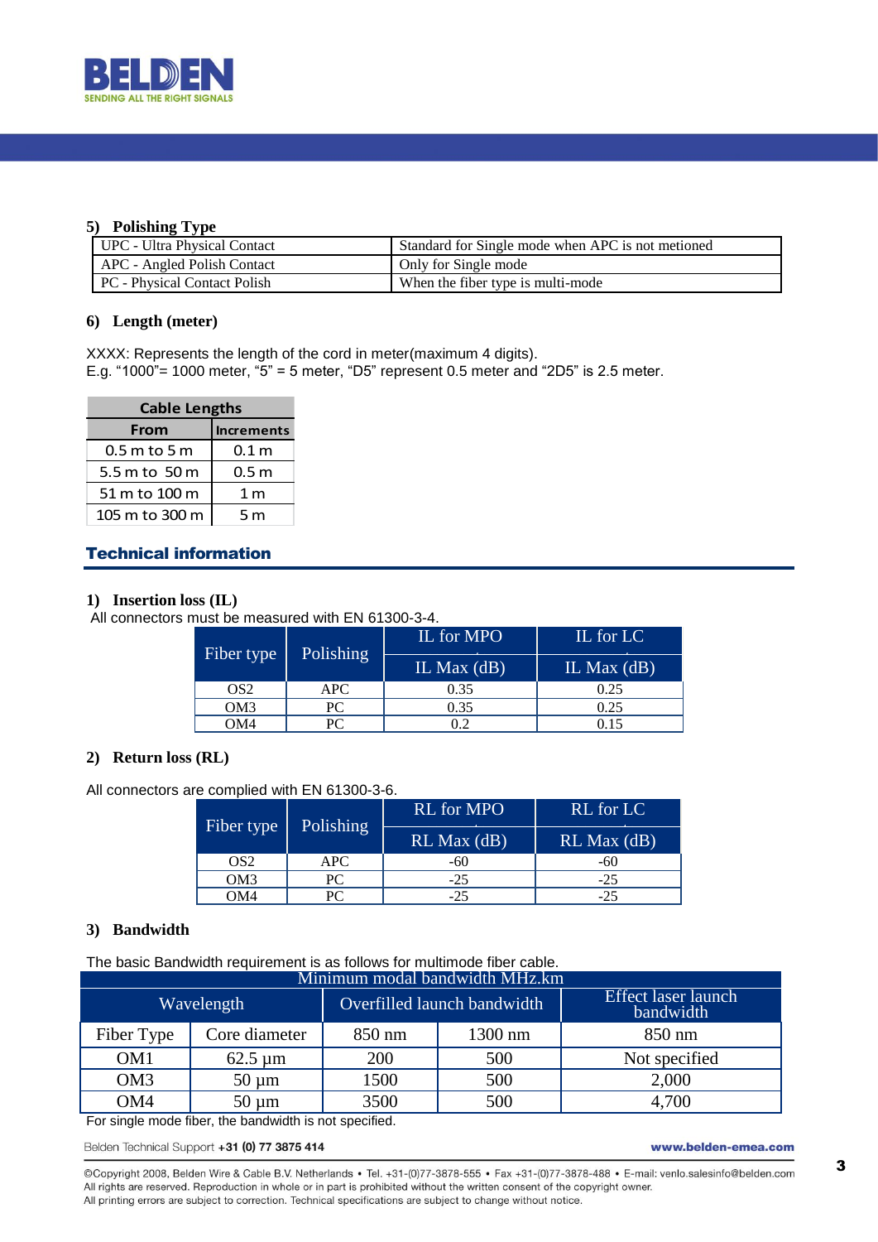

### **5) Polishing Type**

| UPC - Ultra Physical Contact | Standard for Single mode when APC is not metioned |
|------------------------------|---------------------------------------------------|
| APC - Angled Polish Contact  | Only for Single mode                              |
| PC - Physical Contact Polish | When the fiber type is multi-mode                 |

## **6) Length (meter)**

XXXX: Represents the length of the cord in meter(maximum 4 digits). E.g. "1000"= 1000 meter, " $5$ " = 5 meter, "D5" represent 0.5 meter and "2D5" is 2.5 meter.

| <b>Cable Lengths</b> |                   |  |  |
|----------------------|-------------------|--|--|
| From                 | <b>Increments</b> |  |  |
| $0.5$ m to 5 m       | $0.1\,\mathrm{m}$ |  |  |
| 5.5 m to 50 m        | 0.5 m             |  |  |
| 51 m to 100 m        | 1 <sub>m</sub>    |  |  |
| 105 m to 300 m       | 5 m               |  |  |

# Technical information

#### **1) Insertion loss (IL)**

All connectors must be measured with EN 61300-3-4.

| Fiber type | <b>Polishing</b> | IL for MPO    | IL for LC     |
|------------|------------------|---------------|---------------|
|            |                  | IL Max $(dB)$ | IL Max $(dB)$ |
| OS2        | APC.             | 0.35          | 0.25          |
| OM3        | PС               | 0.35          | 0.25          |
| OM4        | PС               | 0.2           |               |

## **2) Return loss (RL)**

All connectors are complied with EN 61300-3-6.

| Fiber type      | <b>Polishing</b> | <b>RL</b> for MPO | RL for LC       |
|-----------------|------------------|-------------------|-----------------|
|                 |                  | $RL$ Max $(dB)$   | $RL$ Max $(dB)$ |
| OS2             | APC              | -60               | -60             |
| OM <sub>3</sub> | PС               | -25               | $-25$           |
| OM4             |                  | -25               | $-25$           |

#### **3) Bandwidth**

The basic Bandwidth requirement is as follows for multimode fiber cable.

| Minimum modal bandwidth MHz.km |                            |                             |         |                                         |
|--------------------------------|----------------------------|-----------------------------|---------|-----------------------------------------|
| Wavelength                     |                            | Overfilled launch bandwidth |         | <b>Effect laser launch</b><br>bandwidth |
| Fiber Type                     | Core diameter              | 850 nm                      | 1300 nm | 850 nm                                  |
| OM <sub>1</sub>                | $62.5 \text{ }\mu\text{m}$ | 200                         | 500     | Not specified                           |
| OM <sub>3</sub>                | $50 \mu m$                 | 1500                        | 500     | 2,000                                   |
| OM4                            | 50<br>um                   | 3500                        | 500     | 4,700                                   |

For single mode fiber, the bandwidth is not specified.

Belden Technical Support +31 (0) 77 3875 414

www.belden-emea.com

@Copyright 2008, Belden Wire & Cable B.V. Netherlands · Tel. +31-(0)77-3878-555 · Fax +31-(0)77-3878-488 · E-mail: venlo.salesinfo@belden.com All rights are reserved. Reproduction in whole or in part is prohibited without the written consent of the copyright owner. All printing errors are subject to correction. Technical specifications are subject to change without notice.